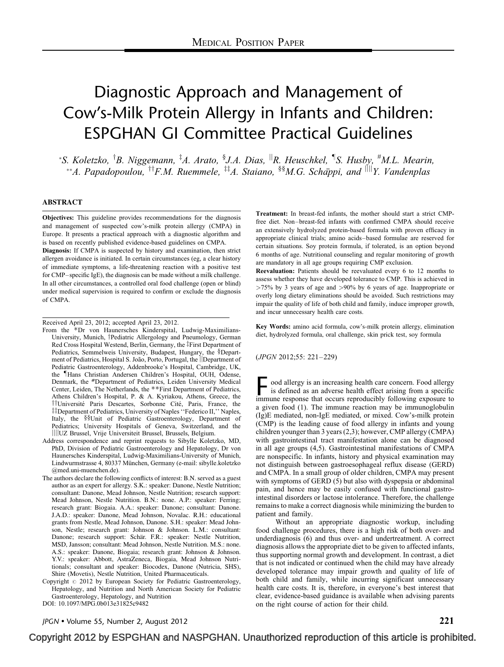# Diagnostic Approach and Management of Cow's-Milk Protein Allergy in Infants and Children: ESPGHAN GI Committee Practical Guidelines

\*S. Koletzko, <sup>†</sup>B. Niggemann, <sup>‡</sup>A. Arato, <sup>§</sup>J.A. Dias, <sup>||</sup>R. Heuschkel, <sup>¶</sup>S. Husby, <sup>#</sup>M.L. Mearin, \*\*A. Papadopoulou,  ${}^{\dagger\dagger}F.M.$  Ruemmele,  ${}^{\ddagger\dagger}A.$  Staiano,  ${}^{\S\S}M.G.$  Schäppi, and  ${}^{\|\cdot\|}Y.$  Vandenplas

#### ABSTRACT

Objectives: This guideline provides recommendations for the diagnosis and management of suspected cow's-milk protein allergy (CMPA) in Europe. It presents a practical approach with a diagnostic algorithm and is based on recently published evidence-based guidelines on CMPA.

Diagnosis: If CMPA is suspected by history and examination, then strict allergen avoidance is initiated. In certain circumstances (eg, a clear history of immediate symptoms, a life-threatening reaction with a positive test for CMP–specific IgE), the diagnosis can be made without a milk challenge. In all other circumstances, a controlled oral food challenge (open or blind) under medical supervision is required to confirm or exclude the diagnosis of CMPA.

Received April 23, 2012; accepted April 23, 2012.

- From the  $*$ Dr von Haunersches Kinderspital, Ludwig-Maximilians-University, Munich, <sup>†</sup>Pediatric Allergology and Pneumology, German Red Cross Hospital Westend, Berlin, Germany, the ‡First Department of Pediatrics, Semmelweis University, Budapest, Hungary, the §Department of Pediatrics, Hospital S. João, Porto, Portugal, the *Department* of Pediatric Gastroenterology, Addenbrooke's Hospital, Cambridge, UK, the Hans Christian Andersen Children's Hospital, OUH, Odense, Denmark, the *#*Department of Pediatrics, Leiden University Medical Center, Leiden, The Netherlands, the \*\*First Department of Pediatrics, Athens Children's Hospital, P. & A. Kyriakou, Athens, Greece, the <sup>†</sup>†Université Paris Descartes, Sorbonne Cité, Paris, France, the <sup>‡‡</sup>Department of Pediatrics, University of Naples "Federico II," Naples, Italy, the §§Unit of Pediatric Gastroenterology, Department of Pediatrics; University Hospitals of Geneva, Switzerland, and the jjjjUZ Brussel, Vrije Universiteit Brussel, Brussels, Belgium.
- Address correspondence and reprint requests to Sibylle Koletzko, MD, PhD, Division of Pediatric Gastroenterology and Hepatology, Dr von Haunersches Kinderspital, Ludwig-Maximilians-University of Munich, Lindwurmstrasse 4, 80337 München, Germany (e-mail: [sibylle.koletzko](mailto:sibylle.koletzko@med.uni-muenchen.de) [@med.uni-muenchen.de\)](mailto:sibylle.koletzko@med.uni-muenchen.de).
- The authors declare the following conflicts of interest: B.N. served as a guest author as an expert for allergy. S.K.: speaker: Danone, Nestle Nutrition; consultant: Danone, Mead Johnson, Nestle Nutrition; research support: Mead Johnson, Nestle Nutrition. B.N.: none. A.P.: speaker: Ferring; research grant: Biogaia. A.A.: speaker: Danone; consultant: Danone. J.A.D.: speaker: Danone, Mead Johnson, Novalac. R.H.: educational grants from Nestle, Mead Johnson, Danone. S.H.: speaker: Mead Johnson, Nestle; research grant: Johnson & Johnson. L.M.: consultant: Danone; research support: Schär. F.R.: speaker: Nestle Nutrition, MSD, Jansson; consultant: Mead Johnson, Nestle Nutrition. M.S.: none. A.S.: speaker: Danone, Biogaia; research grant: Johnson & Johnson. Y.V.: speaker: Abbott, AstraZeneca, Biogaia, Mead Johnson Nutritionals; consultant and speaker: Biocodex, Danone (Nutricia, SHS), Shire (Movetis), Nestle Nutrition, United Pharmaceuticals.
- Copyright  $\degree$  2012 by European Society for Pediatric Gastroenterology, Hepatology, and Nutrition and North American Society for Pediatric Gastroenterology, Hepatology, and Nutrition

DOI: [10.1097/MPG.0b013e31825c9482](http://dx.doi.org/10.1097/MPG.0b013e31825c9482)

Treatment: In breast-fed infants, the mother should start a strict CMPfree diet. Non–breast-fed infants with confirmed CMPA should receive an extensively hydrolyzed protein-based formula with proven efficacy in appropriate clinical trials; amino acids–based formulae are reserved for certain situations. Soy protein formula, if tolerated, is an option beyond 6 months of age. Nutritional counseling and regular monitoring of growth are mandatory in all age groups requiring CMP exclusion.

Reevaluation: Patients should be reevaluated every 6 to 12 months to assess whether they have developed tolerance to CMP. This is achieved in >75% by 3 years of age and >90% by 6 years of age. Inappropriate or overly long dietary eliminations should be avoided. Such restrictions may impair the quality of life of both child and family, induce improper growth, and incur unnecessary health care costs.

Key Words: amino acid formula, cow's-milk protein allergy, elimination diet, hydrolyzed formula, oral challenge, skin prick test, soy formula

(JPGN 2012;55: 221–229)

F ood allergy is an increasing health care concern. Food allergy is defined as an adverse health effect arising from a specific immune response that occurs reproducibly following exposure to a given food [\(1\).](#page-6-0) The immune reaction may be immunoglobulin (Ig)E mediated, non-IgE mediated, or mixed. Cow's-milk protein (CMP) is the leading cause of food allergy in infants and young children younger than 3 years [\(2,3\);](#page-6-0) however, CMP allergy (CMPA) with gastrointestinal tract manifestation alone can be diagnosed in all age groups [\(4,5\).](#page-6-0) Gastrointestinal manifestations of CMPA are nonspecific. In infants, history and physical examination may not distinguish between gastroesophageal reflux disease (GERD) and CMPA. In a small group of older children, CMPA may present with symptoms of GERD [\(5\)](#page-6-0) but also with dyspepsia or abdominal pain, and hence may be easily confused with functional gastrointestinal disorders or lactose intolerance. Therefore, the challenge remains to make a correct diagnosis while minimizing the burden to patient and family.

Without an appropriate diagnostic workup, including food challenge procedures, there is a high risk of both over- and underdiagnosis [\(6\)](#page-6-0) and thus over- and undertreatment. A correct diagnosis allows the appropriate diet to be given to affected infants, thus supporting normal growth and development. In contrast, a diet that is not indicated or continued when the child may have already developed tolerance may impair growth and quality of life of both child and family, while incurring significant unnecessary health care costs. It is, therefore, in everyone's best interest that clear, evidence-based guidance is available when advising parents on the right course of action for their child.

JPGN  $\bullet$  Volume 55, Number 2, August 2012  $221$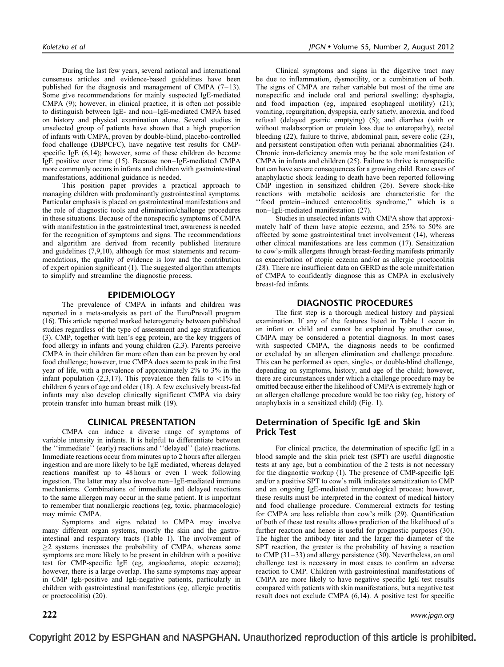During the last few years, several national and international consensus articles and evidence-based guidelines have been published for the diagnosis and management of CMPA  $(7-13)$ . Some give recommendations for mainly suspected IgE-mediated CMPA [\(9\)](#page-6-0); however, in clinical practice, it is often not possible to distinguish between IgE- and non–IgE-mediated CMPA based on history and physical examination alone. Several studies in unselected group of patients have shown that a high proportion of infants with CMPA, proven by double-blind, placebo-controlled food challenge (DBPCFC), have negative test results for CMPspecific IgE  $(6,14)$ ; however, some of these children do become IgE positive over time [\(15\).](#page-6-0) Because non–IgE-mediated CMPA more commonly occurs in infants and children with gastrointestinal manifestations, additional guidance is needed.

This position paper provides a practical approach to managing children with predominantly gastrointestinal symptoms. Particular emphasis is placed on gastrointestinal manifestations and the role of diagnostic tools and elimination/challenge procedures in these situations. Because of the nonspecific symptoms of CMPA with manifestation in the gastrointestinal tract, awareness is needed for the recognition of symptoms and signs. The recommendations and algorithm are derived from recently published literature and guidelines [\(7,9,10\),](#page-6-0) although for most statements and recommendations, the quality of evidence is low and the contribution of expert opinion significant [\(1\).](#page-6-0) The suggested algorithm attempts to simplify and streamline the diagnostic process.

#### EPIDEMIOLOGY

The prevalence of CMPA in infants and children was reported in a meta-analysis as part of the EuroPrevall program [\(16\)](#page-6-0). This article reported marked heterogeneity between published studies regardless of the type of assessment and age stratification [\(3\).](#page-6-0) CMP, together with hen's egg protein, are the key triggers of food allergy in infants and young children [\(2,3\).](#page-6-0) Parents perceive CMPA in their children far more often than can be proven by oral food challenge; however, true CMPA does seem to peak in the first year of life, with a prevalence of approximately 2% to 3% in the infant population [\(2,3,17\)](#page-6-0). This prevalence then falls to  $\langle 1\% \rangle$  in children 6 years of age and older [\(18\).](#page-7-0) A few exclusively breast-fed infants may also develop clinically significant CMPA via dairy protein transfer into human breast milk [\(19\)](#page-7-0).

#### CLINICAL PRESENTATION

CMPA can induce a diverse range of symptoms of variable intensity in infants. It is helpful to differentiate between the ''immediate'' (early) reactions and ''delayed'' (late) reactions. Immediate reactions occur from minutes up to 2 hours after allergen ingestion and are more likely to be IgE mediated, whereas delayed reactions manifest up to 48 hours or even 1 week following ingestion. The latter may also involve non–IgE-mediated immune mechanisms. Combinations of immediate and delayed reactions to the same allergen may occur in the same patient. It is important to remember that nonallergic reactions (eg, toxic, pharmacologic) may mimic CMPA.

Symptoms and signs related to CMPA may involve many different organ systems, mostly the skin and the gastrointestinal and respiratory tracts ([Table 1\)](#page-2-0). The involvement of  $\geq$ 2 systems increases the probability of CMPA, whereas some symptoms are more likely to be present in children with a positive test for CMP-specific IgE (eg, angioedema, atopic eczema); however, there is a large overlap. The same symptoms may appear in CMP IgE-positive and IgE-negative patients, particularly in children with gastrointestinal manifestations (eg, allergic proctitis or proctocolitis) [\(20\).](#page-7-0)

Clinical symptoms and signs in the digestive tract may be due to inflammation, dysmotility, or a combination of both. The signs of CMPA are rather variable but most of the time are nonspecific and include oral and perioral swelling; dysphagia, and food impaction (eg, impaired esophageal motility) [\(21\);](#page-7-0) vomiting, regurgitation, dyspepsia, early satiety, anorexia, and food refusal (delayed gastric emptying) [\(5\);](#page-6-0) and diarrhea (with or without malabsorption or protein loss due to enteropathy), rectal bleeding [\(22\)](#page-7-0), failure to thrive, abdominal pain, severe colic [\(23\)](#page-7-0), and persistent constipation often with perianal abnormalities [\(24\)](#page-7-0). Chronic iron-deficiency anemia may be the sole manifestation of CMPA in infants and children [\(25\)](#page-7-0). Failure to thrive is nonspecific but can have severe consequences for a growing child. Rare cases of anaphylactic shock leading to death have been reported following CMP ingestion in sensitized children [\(26\)](#page-7-0). Severe shock-like reactions with metabolic acidosis are characteristic for the ''food protein–induced enterocolitis syndrome,'' which is a non–IgE-mediated manifestation [\(27\).](#page-7-0)

Studies in unselected infants with CMPA show that approximately half of them have atopic eczema, and 25% to 50% are affected by some gastrointestinal tract involvement [\(14\),](#page-6-0) whereas other clinical manifestations are less common [\(17\)](#page-6-0). Sensitization to cow's-milk allergens through breast-feeding manifests primarily as exacerbation of atopic eczema and/or as allergic proctocolitis [\(28\)](#page-7-0). There are insufficient data on GERD as the sole manifestation of CMPA to confidently diagnose this as CMPA in exclusively breast-fed infants.

#### DIAGNOSTIC PROCEDURES

The first step is a thorough medical history and physical examination. If any of the features listed in [Table 1](#page-2-0) occur in an infant or child and cannot be explained by another cause, CMPA may be considered a potential diagnosis. In most cases with suspected CMPA, the diagnosis needs to be confirmed or excluded by an allergen elimination and challenge procedure. This can be performed as open, single-, or double-blind challenge, depending on symptoms, history, and age of the child; however, there are circumstances under which a challenge procedure may be omitted because either the likelihood of CMPA is extremely high or an allergen challenge procedure would be too risky (eg, history of anaphylaxis in a sensitized child) ([Fig. 1\)](#page-3-0).

## Determination of Specific IgE and Skin Prick Test

For clinical practice, the determination of specific IgE in a blood sample and the skin prick test (SPT) are useful diagnostic tests at any age, but a combination of the 2 tests is not necessary for the diagnostic workup [\(1\).](#page-6-0) The presence of CMP-specific IgE and/or a positive SPT to cow's milk indicates sensitization to CMP and an ongoing IgE-mediated immunological process; however, these results must be interpreted in the context of medical history and food challenge procedure. Commercial extracts for testing for CMPA are less reliable than cow's milk [\(29\).](#page-7-0) Quantification of both of these test results allows prediction of the likelihood of a further reaction and hence is useful for prognostic purposes [\(30\)](#page-7-0). The higher the antibody titer and the larger the diameter of the SPT reaction, the greater is the probability of having a reaction to CMP [\(31–33\)](#page-7-0) and allergy persistence [\(30\).](#page-7-0) Nevertheless, an oral challenge test is necessary in most cases to confirm an adverse reaction to CMP. Children with gastrointestinal manifestations of CMPA are more likely to have negative specific IgE test results compared with patients with skin manifestations, but a negative test result does not exclude CMPA [\(6,14\)](#page-6-0). A positive test for specific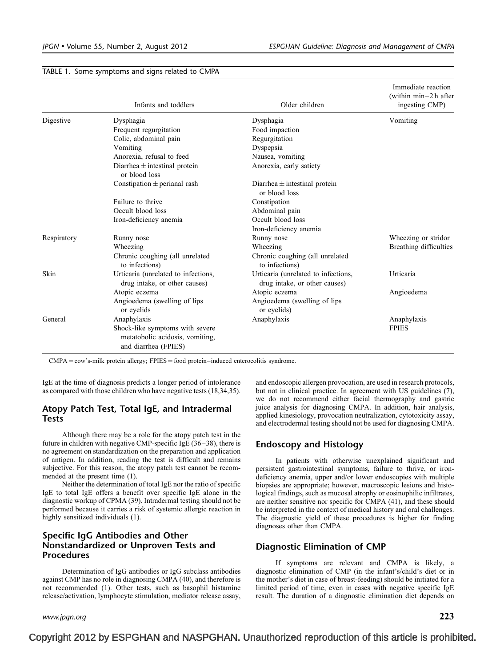|             | Infants and toddlers                                                                       | Older children                                                       | Immediate reaction<br>(within $min-2h$ after<br>ingesting CMP) |
|-------------|--------------------------------------------------------------------------------------------|----------------------------------------------------------------------|----------------------------------------------------------------|
| Digestive   | Dysphagia                                                                                  | Dysphagia                                                            | Vomiting                                                       |
|             | Frequent regurgitation                                                                     | Food impaction                                                       |                                                                |
|             | Colic, abdominal pain                                                                      | Regurgitation                                                        |                                                                |
|             | Vomiting                                                                                   | Dyspepsia                                                            |                                                                |
|             | Anorexia, refusal to feed                                                                  | Nausea, vomiting                                                     |                                                                |
|             | Diarrhea $\pm$ intestinal protein<br>or blood loss                                         | Anorexia, early satiety                                              |                                                                |
|             | Constipation $\pm$ perianal rash                                                           | Diarrhea $\pm$ intestinal protein<br>or blood loss                   |                                                                |
|             | Failure to thrive                                                                          | Constipation                                                         |                                                                |
|             | Occult blood loss                                                                          | Abdominal pain                                                       |                                                                |
|             | Iron-deficiency anemia                                                                     | Occult blood loss                                                    |                                                                |
|             |                                                                                            | Iron-deficiency anemia                                               |                                                                |
| Respiratory | Runny nose                                                                                 | Runny nose                                                           | Wheezing or stridor                                            |
|             | Wheezing                                                                                   | Wheezing                                                             | Breathing difficulties                                         |
|             | Chronic coughing (all unrelated<br>to infections)                                          | Chronic coughing (all unrelated<br>to infections)                    |                                                                |
| Skin        | Urticaria (unrelated to infections,<br>drug intake, or other causes)                       | Urticaria (unrelated to infections,<br>drug intake, or other causes) | Urticaria                                                      |
|             | Atopic eczema                                                                              | Atopic eczema                                                        | Angioedema                                                     |
|             | Angioedema (swelling of lips<br>or eyelids                                                 | Angioedema (swelling of lips)<br>or eyelids)                         |                                                                |
| General     | Anaphylaxis                                                                                | Anaphylaxis                                                          | Anaphylaxis                                                    |
|             | Shock-like symptoms with severe<br>metatobolic acidosis, vomiting,<br>and diarrhea (FPIES) |                                                                      | <b>FPIES</b>                                                   |

#### <span id="page-2-0"></span>TABLE 1. Some symptoms and signs related to CMPA

 $CMPA = \text{cow's-milk protein allergy}; FPIES = \text{food protein-induced enterocolitis syndrome}.$ 

IgE at the time of diagnosis predicts a longer period of intolerance as compared with those children who have negative tests [\(18,34,35\).](#page-7-0)

#### Atopy Patch Test, Total IgE, and Intradermal **Tests**

Although there may be a role for the atopy patch test in the future in children with negative CMP-specific IgE [\(36–38\),](#page-7-0) there is no agreement on standardization on the preparation and application of antigen. In addition, reading the test is difficult and remains subjective. For this reason, the atopy patch test cannot be recommended at the present time [\(1\).](#page-6-0)

Neither the determination of total IgE nor the ratio of specific IgE to total IgE offers a benefit over specific IgE alone in the diagnostic workup of CPMA [\(39\).](#page-7-0) Intradermal testing should not be performed because it carries a risk of systemic allergic reaction in highly sensitized individuals [\(1\).](#page-6-0)

## Specific IgG Antibodies and Other Nonstandardized or Unproven Tests and Procedures

Determination of IgG antibodies or IgG subclass antibodies against CMP has no role in diagnosing CMPA [\(40\),](#page-7-0) and therefore is not recommended [\(1\).](#page-6-0) Other tests, such as basophil histamine release/activation, lymphocyte stimulation, mediator release assay,

and endoscopic allergen provocation, are used in research protocols, but not in clinical practice. In agreement with US guidelines [\(7\)](#page-6-0), we do not recommend either facial thermography and gastric juice analysis for diagnosing CMPA. In addition, hair analysis, applied kinesiology, provocation neutralization, cytotoxicity assay, and electrodermal testing should not be used for diagnosing CMPA.

#### Endoscopy and Histology

In patients with otherwise unexplained significant and persistent gastrointestinal symptoms, failure to thrive, or irondeficiency anemia, upper and/or lower endoscopies with multiple biopsies are appropriate; however, macroscopic lesions and histological findings, such as mucosal atrophy or eosinophilic infiltrates, are neither sensitive nor specific for CMPA [\(41\)](#page-7-0), and these should be interpreted in the context of medical history and oral challenges. The diagnostic yield of these procedures is higher for finding diagnoses other than CMPA.

#### Diagnostic Elimination of CMP

If symptoms are relevant and CMPA is likely, a diagnostic elimination of CMP (in the infant's/child's diet or in the mother's diet in case of breast-feeding) should be initiated for a limited period of time, even in cases with negative specific IgE result. The duration of a diagnostic elimination diet depends on

www.jpgn.org  $223$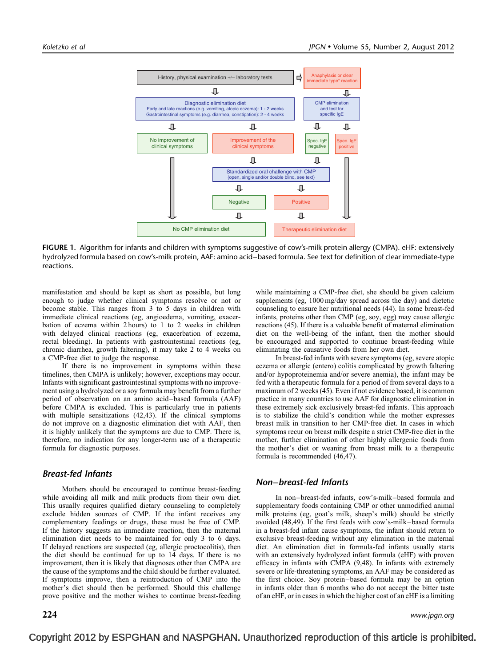<span id="page-3-0"></span>

FIGURE 1. Algorithm for infants and children with symptoms suggestive of cow's-milk protein allergy (CMPA). eHF: extensively hydrolyzed formula based on cow's-milk protein, AAF: amino acid–based formula. See text for definition of clear immediate-type reactions.

manifestation and should be kept as short as possible, but long enough to judge whether clinical symptoms resolve or not or become stable. This ranges from 3 to 5 days in children with immediate clinical reactions (eg, angioedema, vomiting, exacerbation of eczema within 2 hours) to 1 to 2 weeks in children with delayed clinical reactions (eg, exacerbation of eczema, rectal bleeding). In patients with gastrointestinal reactions (eg, chronic diarrhea, growth faltering), it may take 2 to 4 weeks on a CMP-free diet to judge the response.

If there is no improvement in symptoms within these timelines, then CMPA is unlikely; however, exceptions may occur. Infants with significant gastrointestinal symptoms with no improvement using a hydrolyzed or a soy formula may benefit from a further period of observation on an amino acid–based formula (AAF) before CMPA is excluded. This is particularly true in patients with multiple sensitizations [\(42,43\).](#page-7-0) If the clinical symptoms do not improve on a diagnostic elimination diet with AAF, then it is highly unlikely that the symptoms are due to CMP. There is, therefore, no indication for any longer-term use of a therapeutic formula for diagnostic purposes.

## Breast-fed Infants

Mothers should be encouraged to continue breast-feeding while avoiding all milk and milk products from their own diet. This usually requires qualified dietary counseling to completely exclude hidden sources of CMP. If the infant receives any complementary feedings or drugs, these must be free of CMP. If the history suggests an immediate reaction, then the maternal elimination diet needs to be maintained for only 3 to 6 days. If delayed reactions are suspected (eg, allergic proctocolitis), then the diet should be continued for up to 14 days. If there is no improvement, then it is likely that diagnoses other than CMPA are the cause of the symptoms and the child should be further evaluated. If symptoms improve, then a reintroduction of CMP into the mother's diet should then be performed. Should this challenge prove positive and the mother wishes to continue breast-feeding while maintaining a CMP-free diet, she should be given calcium supplements (eg, 1000 mg/day spread across the day) and dietetic counseling to ensure her nutritional needs [\(44\)](#page-7-0). In some breast-fed infants, proteins other than CMP (eg, soy, egg) may cause allergic reactions [\(45\)](#page-7-0). If there is a valuable benefit of maternal elimination diet on the well-being of the infant, then the mother should be encouraged and supported to continue breast-feeding while eliminating the causative foods from her own diet.

In breast-fed infants with severe symptoms (eg, severe atopic eczema or allergic (entero) colitis complicated by growth faltering and/or hypoproteinemia and/or severe anemia), the infant may be fed with a therapeutic formula for a period of from several days to a maximum of 2 weeks [\(45\)](#page-7-0). Even if not evidence based, it is common practice in many countries to use AAF for diagnostic elimination in these extremely sick exclusively breast-fed infants. This approach is to stabilize the child's condition while the mother expresses breast milk in transition to her CMP-free diet. In cases in which symptoms recur on breast milk despite a strict CMP-free diet in the mother, further elimination of other highly allergenic foods from the mother's diet or weaning from breast milk to a therapeutic formula is recommended [\(46,47\)](#page-7-0).

## Non–breast-fed Infants

In non–breast-fed infants, cow's-milk–based formula and supplementary foods containing CMP or other unmodified animal milk proteins (eg, goat's milk, sheep's milk) should be strictly avoided [\(48,49\).](#page-7-0) If the first feeds with cow's-milk–based formula in a breast-fed infant cause symptoms, the infant should return to exclusive breast-feeding without any elimination in the maternal diet. An elimination diet in formula-fed infants usually starts with an extensively hydrolyzed infant formula (eHF) with proven efficacy in infants with CMPA [\(9,48\)](#page-6-0). In infants with extremely severe or life-threatening symptoms, an AAF may be considered as the first choice. Soy protein–based formula may be an option in infants older than 6 months who do not accept the bitter taste of an eHF, or in cases in which the higher cost of an eHF is a limiting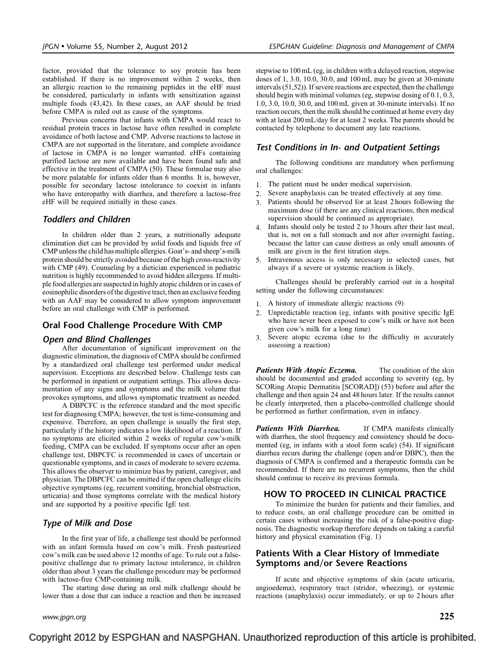factor, provided that the tolerance to soy protein has been established. If there is no improvement within 2 weeks, then an allergic reaction to the remaining peptides in the eHF must be considered, particularly in infants with sensitization against multiple foods [\(43,42\)](#page-7-0). In these cases, an AAF should be tried before CMPA is ruled out as cause of the symptoms.

Previous concerns that infants with CMPA would react to residual protein traces in lactose have often resulted in complete avoidance of both lactose and CMP. Adverse reactions to lactose in CMPA are not supported in the literature, and complete avoidance of lactose in CMPA is no longer warranted. eHFs containing purified lactose are now available and have been found safe and effective in the treatment of CMPA [\(50\).](#page-7-0) These formulae may also be more palatable for infants older than 6 months. It is, however, possible for secondary lactose intolerance to coexist in infants who have enteropathy with diarrhea, and therefore a lactose-free eHF will be required initially in these cases.

#### Toddlers and Children

In children older than 2 years, a nutritionally adequate elimination diet can be provided by solid foods and liquids free of CMP unless the child has multiple allergies. Goat's- and sheep's-milk protein should be strictly avoided because of the high cross-reactivity with CMP [\(49\).](#page-7-0) Counseling by a dietician experienced in pediatric nutrition is highly recommended to avoid hidden allergens. If multiple food allergies are suspected in highly atopic children or in cases of eosinophilic disorders of the digestive tract, then an exclusive feeding with an AAF may be considered to allow symptom improvement before an oral challenge with CMP is performed.

#### Oral Food Challenge Procedure With CMP

#### Open and Blind Challenges

After documentation of significant improvement on the diagnostic elimination, the diagnosis of CMPA should be confirmed by a standardized oral challenge test performed under medical supervision. Exceptions are described below. Challenge tests can be performed in inpatient or outpatient settings. This allows documentation of any signs and symptoms and the milk volume that provokes symptoms, and allows symptomatic treatment as needed.

A DBPCFC is the reference standard and the most specific test for diagnosing CMPA; however, the test is time-consuming and expensive. Therefore, an open challenge is usually the first step, particularly if the history indicates a low likelihood of a reaction. If no symptoms are elicited within 2 weeks of regular cow's-milk feeding, CMPA can be excluded. If symptoms occur after an open challenge test, DBPCFC is recommended in cases of uncertain or questionable symptoms, and in cases of moderate to severe eczema. This allows the observer to minimize bias by patient, caregiver, and physician. The DBPCFC can be omitted if the open challenge elicits objective symptoms (eg, recurrent vomiting, bronchial obstruction, urticaria) and those symptoms correlate with the medical history and are supported by a positive specific IgE test.

## Type of Milk and Dose

In the first year of life, a challenge test should be performed with an infant formula based on cow's milk. Fresh pasteurized cow's milk can be used above 12 months of age. To rule out a falsepositive challenge due to primary lactose intolerance, in children older than about 3 years the challenge procedure may be performed with lactose-free CMP-containing milk.

The starting dose during an oral milk challenge should be lower than a dose that can induce a reaction and then be increased stepwise to 100 mL (eg, in children with a delayed reaction, stepwise doses of 1, 3.0, 10.0, 30.0, and 100 mL may be given at 30-minute intervals [\(51,52\)](#page-7-0)). If severe reactions are expected, then the challenge should begin with minimal volumes (eg, stepwise dosing of 0.1, 0.3, 1.0, 3.0, 10.0, 30.0, and 100 mL given at 30-minute intervals). If no reaction occurs, then the milk should be continued at home every day with at least 200 mL/day for at least 2 weeks. The parents should be contacted by telephone to document any late reactions.

## Test Conditions in In- and Outpatient Settings

The following conditions are mandatory when performing oral challenges:

- 1. The patient must be under medical supervision.
- 2. Severe anaphylaxis can be treated effectively at any time.
- 3. Patients should be observed for at least 2 hours following the maximum dose (if there are any clinical reactions, then medical supervision should be continued as appropriate).
- 4. Infants should only be tested 2 to 3 hours after their last meal, that is, not on a full stomach and not after overnight fasting, because the latter can cause distress as only small amounts of milk are given in the first titration steps.
- 5. Intravenous access is only necessary in selected cases, but always if a severe or systemic reaction is likely.

Challenges should be preferably carried out in a hospital setting under the following circumstances:

- 1. A history of immediate allergic reactions [\(9\)](#page-6-0)
- 2. Unpredictable reaction (eg, infants with positive specific IgE who have never been exposed to cow's milk or have not been given cow's milk for a long time)
- 3. Severe atopic eczema (due to the difficulty in accurately assessing a reaction)

Patients With Atopic Eczema. The condition of the skin should be documented and graded according to severity (eg, by SCORing Atopic Dermatitis [SCORAD]) [\(53\)](#page-7-0) before and after the challenge and then again 24 and 48 hours later. If the results cannot be clearly interpreted, then a placebo-controlled challenge should be performed as further confirmation, even in infancy.

**Patients With Diarrhea.** If CMPA manifests clinically with diarrhea, the stool frequency and consistency should be documented (eg, in infants with a stool form scale) [\(54\).](#page-7-0) If significant diarrhea recurs during the challenge (open and/or DBPC), then the diagnosis of CMPA is confirmed and a therapeutic formula can be recommended. If there are no recurrent symptoms, then the child should continue to receive its previous formula.

#### HOW TO PROCEED IN CLINICAL PRACTICE

To minimize the burden for patients and their families, and to reduce costs, an oral challenge procedure can be omitted in certain cases without increasing the risk of a false-positive diagnosis. The diagnostic workup therefore depends on taking a careful history and physical examination ([Fig. 1\)](#page-3-0)

### Patients With a Clear History of Immediate Symptoms and/or Severe Reactions

If acute and objective symptoms of skin (acute urticaria, angioedema), respiratory tract (stridor, wheezing), or systemic reactions (anaphylaxis) occur immediately, or up to 2 hours after

www.jpgn.org  $225$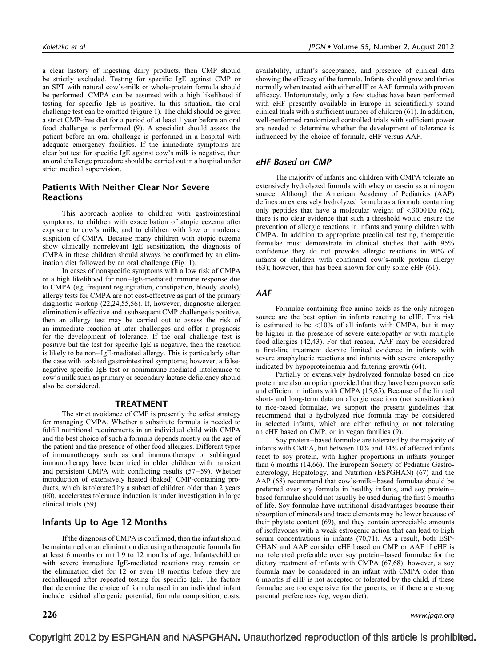a clear history of ingesting dairy products, then CMP should be strictly excluded. Testing for specific IgE against CMP or an SPT with natural cow's-milk or whole-protein formula should be performed. CMPA can be assumed with a high likelihood if testing for specific IgE is positive. In this situation, the oral challenge test can be omitted ([Figure 1](#page-3-0)). The child should be given a strict CMP-free diet for a period of at least 1 year before an oral food challenge is performed [\(9\).](#page-6-0) A specialist should assess the patient before an oral challenge is performed in a hospital with adequate emergency facilities. If the immediate symptoms are clear but test for specific IgE against cow's milk is negative, then an oral challenge procedure should be carried out in a hospital under strict medical supervision.

## Patients With Neither Clear Nor Severe **Reactions**

This approach applies to children with gastrointestinal symptoms, to children with exacerbation of atopic eczema after exposure to cow's milk, and to children with low or moderate suspicion of CMPA. Because many children with atopic eczema show clinically nonrelevant IgE sensitization, the diagnosis of CMPA in these children should always be confirmed by an elimination diet followed by an oral challenge ([Fig. 1](#page-3-0)).

In cases of nonspecific symptoms with a low risk of CMPA or a high likelihood for non–IgE-mediated immune response due to CMPA (eg, frequent regurgitation, constipation, bloody stools), allergy tests for CMPA are not cost-effective as part of the primary diagnostic workup [\(22,24,55,56\)](#page-7-0). If, however, diagnostic allergen elimination is effective and a subsequent CMP challenge is positive, then an allergy test may be carried out to assess the risk of an immediate reaction at later challenges and offer a prognosis for the development of tolerance. If the oral challenge test is positive but the test for specific IgE is negative, then the reaction is likely to be non–IgE-mediated allergy. This is particularly often the case with isolated gastrointestinal symptoms; however, a falsenegative specific IgE test or nonimmune-mediated intolerance to cow's milk such as primary or secondary lactase deficiency should also be considered.

#### TREATMENT

The strict avoidance of CMP is presently the safest strategy for managing CMPA. Whether a substitute formula is needed to fulfill nutritional requirements in an individual child with CMPA and the best choice of such a formula depends mostly on the age of the patient and the presence of other food allergies. Different types of immunotherapy such as oral immunotherapy or sublingual immunotherapy have been tried in older children with transient and persistent CMPA with conflicting results [\(57–59\)](#page-7-0). Whether introduction of extensively heated (baked) CMP-containing products, which is tolerated by a subset of children older than 2 years [\(60\)](#page-7-0), accelerates tolerance induction is under investigation in large clinical trials [\(59\).](#page-7-0)

## Infants Up to Age 12 Months

If the diagnosis of CMPA is confirmed, then the infant should be maintained on an elimination diet using a therapeutic formula for at least 6 months or until 9 to 12 months of age. Infants/children with severe immediate IgE-mediated reactions may remain on the elimination diet for 12 or even 18 months before they are rechallenged after repeated testing for specific IgE. The factors that determine the choice of formula used in an individual infant include residual allergenic potential, formula composition, costs,

availability, infant's acceptance, and presence of clinical data showing the efficacy of the formula. Infants should grow and thrive normally when treated with either eHF or AAF formula with proven efficacy. Unfortunately, only a few studies have been performed with eHF presently available in Europe in scientifically sound clinical trials with a sufficient number of children [\(61\).](#page-7-0) In addition, well-performed randomized controlled trials with sufficient power are needed to determine whether the development of tolerance is influenced by the choice of formula, eHF versus AAF.

#### eHF Based on CMP

The majority of infants and children with CMPA tolerate an extensively hydrolyzed formula with whey or casein as a nitrogen source. Although the American Academy of Pediatrics (AAP) defines an extensively hydrolyzed formula as a formula containing only peptides that have a molecular weight of <3000 Da [\(62\)](#page-7-0), there is no clear evidence that such a threshold would ensure the prevention of allergic reactions in infants and young children with CMPA. In addition to appropriate preclinical testing, therapeutic formulae must demonstrate in clinical studies that with 95% confidence they do not provoke allergic reactions in 90% of infants or children with confirmed cow's-milk protein allergy [\(63\)](#page-7-0); however, this has been shown for only some eHF [\(61\)](#page-7-0).

#### AAF

Formulae containing free amino acids as the only nitrogen source are the best option in infants reacting to eHF. This risk is estimated to be  $\langle 10\%$  of all infants with CMPA, but it may be higher in the presence of severe enteropathy or with multiple food allergies [\(42,43\)](#page-7-0). For that reason, AAF may be considered a first-line treatment despite limited evidence in infants with severe anaphylactic reactions and infants with severe enteropathy indicated by hypoproteinemia and faltering growth [\(64\)](#page-7-0).

Partially or extensively hydrolyzed formulae based on rice protein are also an option provided that they have been proven safe and efficient in infants with CMPA [\(15,65\)](#page-6-0). Because of the limited short- and long-term data on allergic reactions (not sensitization) to rice-based formulae, we support the present guidelines that recommend that a hydrolyzed rice formula may be considered in selected infants, which are either refusing or not tolerating an eHF based on CMP, or in vegan families [\(9\)](#page-6-0).

Soy protein–based formulae are tolerated by the majority of infants with CMPA, but between 10% and 14% of affected infants react to soy protein, with higher proportions in infants younger than 6 months [\(14,66\)](#page-6-0). The European Society of Pediatric Gastroenterology, Hepatology, and Nutrition (ESPGHAN) [\(67\)](#page-8-0) and the AAP [\(68\)](#page-8-0) recommend that cow's-milk–based formulae should be preferred over soy formula in healthy infants, and soy protein– based formulae should not usually be used during the first 6 months of life. Soy formulae have nutritional disadvantages because their absorption of minerals and trace elements may be lower because of their phytate content [\(69\)](#page-8-0), and they contain appreciable amounts of isoflavones with a weak estrogenic action that can lead to high serum concentrations in infants [\(70,71\).](#page-8-0) As a result, both ESP-GHAN and AAP consider eHF based on CMP or AAF if eHF is not tolerated preferable over soy protein–based formulae for the dietary treatment of infants with CMPA [\(67,68\)](#page-8-0); however, a soy formula may be considered in an infant with CMPA older than 6 months if eHF is not accepted or tolerated by the child, if these formulae are too expensive for the parents, or if there are strong parental preferences (eg, vegan diet).

 $\bf 226$  www.jpgn.org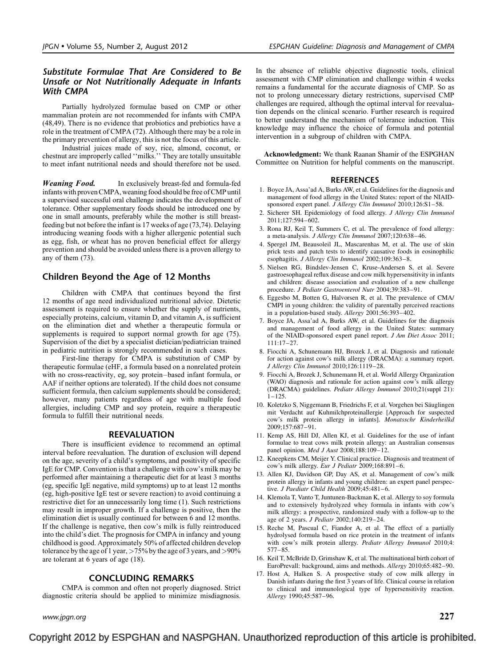## <span id="page-6-0"></span>Substitute Formulae That Are Considered to Be Unsafe or Not Nutritionally Adequate in Infants With CMPA

Partially hydrolyzed formulae based on CMP or other mammalian protein are not recommended for infants with CMPA [\(48,49\)](#page-7-0). There is no evidence that probiotics and prebiotics have a role in the treatment of CMPA [\(72\)](#page-8-0). Although there may be a role in the primary prevention of allergy, this is not the focus of this article.

Industrial juices made of soy, rice, almond, coconut, or chestnut are improperly called ''milks.'' They are totally unsuitable to meet infant nutritional needs and should therefore not be used.

Weaning Food. In exclusively breast-fed and formula-fed infants with proven CMPA, weaning food should be free of CMP until a supervised successful oral challenge indicates the development of tolerance. Other supplementary foods should be introduced one by one in small amounts, preferably while the mother is still breastfeeding but not before the infant is 17 weeks of age [\(73,74\).](#page-8-0) Delaying introducing weaning foods with a higher allergenic potential such as egg, fish, or wheat has no proven beneficial effect for allergy prevention and should be avoided unless there is a proven allergy to any of them [\(73\).](#page-8-0)

## Children Beyond the Age of 12 Months

Children with CMPA that continues beyond the first 12 months of age need individualized nutritional advice. Dietetic assessment is required to ensure whether the supply of nutrients, especially proteins, calcium, vitamin D, and vitamin A, is sufficient on the elimination diet and whether a therapeutic formula or supplements is required to support normal growth for age  $(75)$ . Supervision of the diet by a specialist dietician/pediatrician trained in pediatric nutrition is strongly recommended in such cases.

First-line therapy for CMPA is substitution of CMP by therapeutic formulae (eHF, a formula based on a nonrelated protein with no cross-reactivity, eg, soy protein–based infant formula, or AAF if neither options are tolerated). If the child does not consume sufficient formula, then calcium supplements should be considered; however, many patients regardless of age with multiple food allergies, including CMP and soy protein, require a therapeutic formula to fulfill their nutritional needs.

#### REEVALUATION

There is insufficient evidence to recommend an optimal interval before reevaluation. The duration of exclusion will depend on the age, severity of a child's symptoms, and positivity of specific IgE for CMP. Convention is that a challenge with cow's milk may be performed after maintaining a therapeutic diet for at least 3 months (eg, specific IgE negative, mild symptoms) up to at least 12 months (eg, high-positive IgE test or severe reaction) to avoid continuing a restrictive diet for an unnecessarily long time (1). Such restrictions may result in improper growth. If a challenge is positive, then the elimination diet is usually continued for between 6 and 12 months. If the challenge is negative, then cow's milk is fully reintroduced into the child's diet. The prognosis for CMPA in infancy and young childhood is good. Approximately 50% of affected children develop tolerance by the age of 1 year,  $>75\%$  by the age of 3 years, and  $>90\%$ are tolerant at 6 years of age [\(18\)](#page-7-0).

## CONCLUDING REMARKS

CMPA is common and often not properly diagnosed. Strict diagnostic criteria should be applied to minimize misdiagnosis. In the absence of reliable objective diagnostic tools, clinical assessment with CMP elimination and challenge within 4 weeks remains a fundamental for the accurate diagnosis of CMP. So as not to prolong unnecessary dietary restrictions, supervised CMP challenges are required, although the optimal interval for reevaluation depends on the clinical scenario. Further research is required to better understand the mechanism of tolerance induction. This knowledge may influence the choice of formula and potential intervention in a subgroup of children with CMPA.

Acknowledgment: We thank Raanan Shamir of the ESPGHAN Committee on Nutrition for helpful comments on the manuscript.

#### **REFERENCES**

- 1. Boyce JA, Assa'ad A, Burks AW, et al. Guidelines for the diagnosis and management of food allergy in the United States: report of the NIAIDsponsored expert panel. J Allergy Clin Immunol 2010;126:S1-58.
- 2. Sicherer SH. Epidemiology of food allergy. J Allergy Clin Immunol 2011;127:594–602.
- 3. Rona RJ, Keil T, Summers C, et al. The prevalence of food allergy: a meta-analysis. J Allergy Clin Immunol 2007;120:638–46.
- 4. Spergel JM, Beausoleil JL, Mascarenhas M, et al. The use of skin prick tests and patch tests to identify causative foods in eosinophilic esophagitis. J Allergy Clin Immunol 2002;109:363–8.
- 5. Nielsen RG, Bindslev-Jensen C, Kruse-Andersen S, et al. Severe gastroesophageal reflux disease and cow milk hypersensitivity in infants and children: disease association and evaluation of a new challenge procedure. J Pediatr Gastroenterol Nutr 2004;39:383–91.
- 6. Eggesbo M, Botten G, Halvorsen R, et al. The prevalence of CMA/ CMPI in young children: the validity of parentally perceived reactions in a population-based study. Allergy 2001;56:393–402.
- 7. Boyce JA, Assa'ad A, Burks AW, et al. Guidelines for the diagnosis and management of food allergy in the United States: summary of the NIAID-sponsored expert panel report. J Am Diet Assoc 2011; 111:17–27.
- 8. Fiocchi A, Schunemann HJ, Brozek J, et al. Diagnosis and rationale for action against cow's milk allergy (DRACMA): a summary report. J Allergy Clin Immunol 2010;126:1119–28.
- 9. Fiocchi A, Brozek J, Schunemann H, et al. World Allergy Organization (WAO) diagnosis and rationale for action against cow's milk allergy (DRACMA) guidelines. Pediatr Allergy Immunol 2010;21(suppl 21): 1–125.
- 10. Koletzko S, Niggemann B, Friedrichs F, et al. Vorgehen bei Säuglingen mit Verdacht auf Kuhmilchproteinallergie [Approach for suspected cow's milk protein allergy in infants]. Monatsschr Kinderheilkd 2009;157:687–91.
- 11. Kemp AS, Hill DJ, Allen KJ, et al. Guidelines for the use of infant formulae to treat cows milk protein allergy: an Australian consensus panel opinion. Med J Aust 2008;188:109–12.
- 12. Kneepkens CM, Meijer Y. Clinical practice. Diagnosis and treatment of cow's milk allergy. Eur J Pediatr  $2009:168:891-6$ .
- 13. Allen KJ, Davidson GP, Day AS, et al. Management of cow's milk protein allergy in infants and young children: an expert panel perspective. J Paediatr Child Health 2009;45:481–6.
- 14. Klemola T, Vanto T, Juntunen-Backman K, et al. Allergy to soy formula and to extensively hydrolyzed whey formula in infants with cow's milk allergy: a prospective, randomized study with a follow-up to the age of 2 years. J Pediatr 2002;140:219–24.
- 15. Reche M, Pascual C, Fiandor A, et al. The effect of a partially hydrolysed formula based on rice protein in the treatment of infants with cow's milk protein allergy. Pediatr Allergy Immunol 2010;4: 577–85.
- 16. Keil T, McBride D, Grimshaw K, et al. The multinational birth cohort of EuroPrevall: background, aims and methods. Allergy 2010;65:482–90.
- 17. Host A, Halken S. A prospective study of cow milk allergy in Danish infants during the first 3 years of life. Clinical course in relation to clinical and immunological type of hypersensitivity reaction. Allergy 1990;45:587–96.

www.jpgn.org  $227$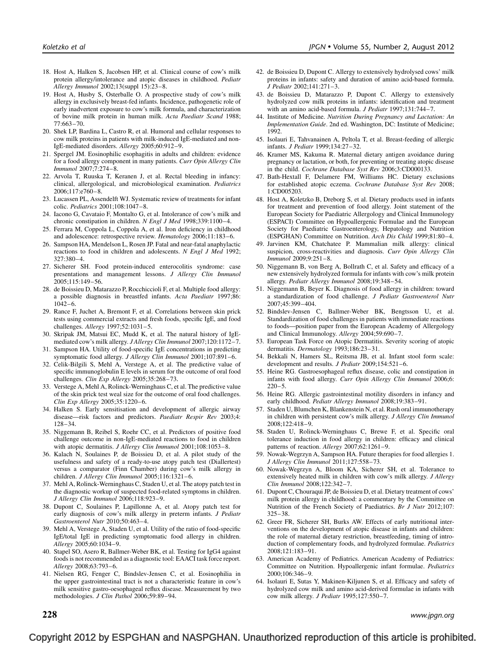- <span id="page-7-0"></span>18. Host A, Halken S, Jacobsen HP, et al. Clinical course of cow's milk protein allergy/intolerance and atopic diseases in childhood. Pediatr Allergy Immunol 2002;13(suppl 15):23–8.
- 19. Host A, Husby S, Osterballe O. A prospective study of cow's milk allergy in exclusively breast-fed infants. Incidence, pathogenetic role of early inadvertent exposure to cow's milk formula, and characterization of bovine milk protein in human milk. Acta Paediatr Scand 1988; 77:663–70.
- 20. Shek LP, Bardina L, Castro R, et al. Humoral and cellular responses to cow milk proteins in patients with milk-induced IgE-mediated and non-IgE-mediated disorders. Allergy 2005;60:912–9.
- 21. Spergel JM. Eosinophilic esophagitis in adults and children: evidence for a food allergy component in many patients. Curr Opin Allergy Clin Immunol 2007;7:274–8.
- 22. Arvola T, Ruuska T, Keranen J, et al. Rectal bleeding in infancy: clinical, allergological, and microbiological examination. Pediatrics 2006;117:e760–8.
- 23. Lucassen PL, Assendelft WJ. Systematic review of treatments for infant colic. Pediatrics 2001;108:1047–8.
- 24. Iacono G, Cavataio F, Montalto G, et al. Intolerance of cow's milk and chronic constipation in children. N Engl J Med 1998;339:1100–4.
- 25. Ferrara M, Coppola L, Coppola A, et al. Iron deficiency in childhood and adolescence: retrospective review. Hematology 2006;11:183–6.
- 26. Sampson HA, Mendelson L, Rosen JP. Fatal and near-fatal anaphylactic reactions to food in children and adolescents. N Engl J Med 1992; 327:380–4.
- 27. Sicherer SH. Food protein-induced enterocolitis syndrome: case presentations and management lessons. J Allergy Clin Immunol 2005;115:149–56.
- 28. de Boissieu D, Matarazzo P, Rocchiccioli F, et al. Multiple food allergy: a possible diagnosis in breastfed infants. Acta Paediatr 1997;86: 1042–6.
- 29. Rance F, Juchet A, Bremont F, et al. Correlations between skin prick tests using commercial extracts and fresh foods, specific IgE, and food challenges. Allergy 1997;52:1031–5.
- 30. Skripak JM, Matsui EC, Mudd K, et al. The natural history of IgEmediated cow's milk allergy. J Allergy Clin Immunol 2007;120:1172–7.
- 31. Sampson HA. Utility of food-specific IgE concentrations in predicting symptomatic food allergy. J Allergy Clin Immunol 2001;107:891–6.
- 32. Celik-Bilgili S, Mehl A, Verstege A, et al. The predictive value of specific immunoglobulin E levels in serum for the outcome of oral food challenges. Clin Exp Allergy 2005;35:268-73.
- 33. Verstege A, Mehl A, Rolinck-Werninghaus C, et al. The predictive value of the skin prick test weal size for the outcome of oral food challenges. Clin Exp Allergy 2005;35:1220–6.
- 34. Halken S. Early sensitisation and development of allergic airway disease—risk factors and predictors. Paediatr Respir Rev 2003;4: 128–34.
- 35. Niggemann B, Reibel S, Roehr CC, et al. Predictors of positive food challenge outcome in non-IgE-mediated reactions to food in children with atopic dermatitis. J Allergy Clin Immunol 2001;108:1053-8.
- 36. Kalach N, Soulaines P, de Boissieu D, et al. A pilot study of the usefulness and safety of a ready-to-use atopy patch test (Diallertest) versus a comparator (Finn Chamber) during cow's milk allergy in children. J Allergy Clin Immunol 2005;116:1321-6.
- 37. Mehl A, Rolinck-Werninghaus C, Staden U, et al. The atopy patch test in the diagnostic workup of suspected food-related symptoms in children. J Allergy Clin Immunol 2006;118:923–9.
- 38. Dupont C, Soulaines P, Lapillonne A, et al. Atopy patch test for early diagnosis of cow's milk allergy in preterm infants. J Pediatr Gastroenterol Nutr 2010;50:463–4.
- 39. Mehl A, Verstege A, Staden U, et al. Utility of the ratio of food-specific IgE/total IgE in predicting symptomatic food allergy in children. Allergy 2005;60:1034–9.
- 40. Stapel SO, Asero R, Ballmer-Weber BK, et al. Testing for IgG4 against foods is not recommended as a diagnostic tool: EAACI task force report. Allergy 2008;63:793–6.
- 41. Nielsen RG, Fenger C, Bindslev-Jensen C, et al. Eosinophilia in the upper gastrointestinal tract is not a characteristic feature in cow's milk sensitive gastro-oesophageal reflux disease. Measurement by two methodologies. J Clin Pathol 2006;59:89–94.
- 42. de Boissieu D, Dupont C. Allergy to extensively hydrolysed cows' milk proteins in infants: safety and duration of amino acid-based formula. J Pediatr 2002;141:271–3.
- 43. de Boissieu D, Matarazzo P, Dupont C. Allergy to extensively hydrolyzed cow milk proteins in infants: identification and treatment with an amino acid-based formula. J Pediatr 1997;131:744-7.
- 44. Institute of Medicine. Nutrition During Pregnancy and Lactation: An Implementation Guide. 2nd ed. Washington, DC: Institute of Medicine; 1992.
- 45. Isolauri E, Tahvanainen A, Peltola T, et al. Breast-feeding of allergic infants. J Pediatr 1999;134:27–32.
- 46. Kramer MS, Kakuma R. Maternal dietary antigen avoidance during pregnancy or lactation, or both, for preventing or treating atopic disease in the child. Cochrane Database Syst Rev 2006;3:CD000133.
- 47. Bath-Hextall F, Delamere FM, Williams HC. Dietary exclusions for established atopic eczema. Cochrane Database Syst Rev 2008; 1:CD005203.
- 48. Host A, Koletzko B, Dreborg S, et al. Dietary products used in infants for treatment and prevention of food allergy. Joint statement of the European Society for Paediatric Allergology and Clinical Immunology (ESPACI) Committee on Hypoallergenic Formulae and the European Society for Paediatric Gastroenterology, Hepatology and Nutrition (ESPGHAN) Committee on Nutrition. Arch Dis Child 1999;81:80–4.
- 49. Jarvinen KM, Chatchatee P. Mammalian milk allergy: clinical suspicion, cross-reactivities and diagnosis. Curr Opin Allergy Clin Immunol 2009;9:251–8.
- 50. Niggemann B, von Berg A, Bollrath C, et al. Safety and efficacy of a new extensively hydrolyzed formula for infants with cow's milk protein allergy. Pediatr Allergy Immunol 2008;19:348–54.
- 51. Niggemann B, Beyer K. Diagnosis of food allergy in children: toward a standardization of food challenge. J Pediatr Gastroenterol Nutr 2007;45:399–404.
- 52. Bindslev-Jensen C, Ballmer-Weber BK, Bengtsson U, et al. Standardization of food challenges in patients with immediate reactions to foods—position paper from the European Academy of Allergology and Clinical Immunology. Allergy 2004;59:690–7.
- 53. European Task Force on Atopic Dermatitis. Severity scoring of atopic dermatitis. Dermatology 1993;186:23-31.
- 54. Bekkali N, Hamers SL, Reitsma JB, et al. Infant stool form scale: development and results. J Pediatr 2009;154:521–6.
- 55. Heine RG. Gastroesophageal reflux disease, colic and constipation in infants with food allergy. Curr Opin Allergy Clin Immunol 2006;6:  $220 - 5$
- 56. Heine RG. Allergic gastrointestinal motility disorders in infancy and early childhood. Pediatr Allergy Immunol 2008;19:383–91.
- 57. Staden U, Blumchen K, Blankenstein N, et al. Rush oral immunotherapy in children with persistent cow's milk allergy. J Allergy Clin Immunol 2008;122:418–9.
- 58. Staden U, Rolinck-Werninghaus C, Brewe F, et al. Specific oral tolerance induction in food allergy in children: efficacy and clinical patterns of reaction. Allergy 2007;62:1261–9.
- 59. Nowak-Wegrzyn A, Sampson HA. Future therapies for food allergies 1. J Allergy Clin Immunol 2011;127:558–73.
- 60. Nowak-Wegrzyn A, Bloom KA, Sicherer SH, et al. Tolerance to extensively heated milk in children with cow's milk allergy. J Allergy Clin Immunol 2008;122:342–7.
- 61. Dupont C, Chouraqui JP, de Boissieu D, et al. Dietary treatment of cows' milk protein allergy in childhood: a commentary by the Committee on Nutrition of the French Society of Paediatrics. Br J Nutr 2012;107: 325–38.
- 62. Greer FR, Sicherer SH, Burks AW. Effects of early nutritional interventions on the development of atopic disease in infants and children: the role of maternal dietary restriction, breastfeeding, timing of introduction of complementary foods, and hydrolyzed formulae. Pediatrics 2008;121:183–91.
- 63. American Academy of Pediatrics. American Academy of Pediatrics: Committee on Nutrition. Hypoallergenic infant formulae. Pediatrics 2000;106:346–9.
- 64. Isolauri E, Sutas Y, Makinen-Kiljunen S, et al. Efficacy and safety of hydrolyzed cow milk and amino acid-derived formulae in infants with cow milk allergy. J Pediatr 1995;127:550–7.

 $228 \,$  www.jpgn.org  $\,$